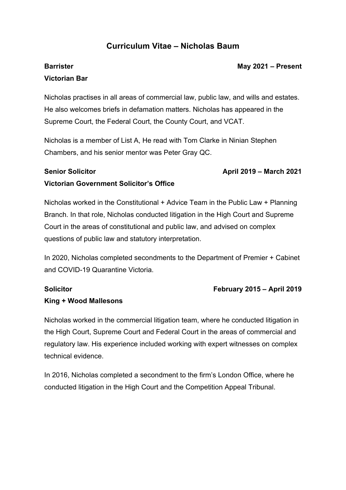## **Curriculum Vitae – Nicholas Baum**

# **Barrister Victorian Bar**

#### **May 2021 – Present**

Nicholas practises in all areas of commercial law, public law, and wills and estates. He also welcomes briefs in defamation matters. Nicholas has appeared in the Supreme Court, the Federal Court, the County Court, and VCAT.

Nicholas is a member of List A, He read with Tom Clarke in Ninian Stephen Chambers, and his senior mentor was Peter Gray QC.

#### **Senior Solicitor**

#### **April 2019 – March 2021**

**February 2015 – April 2019**

#### **Victorian Government Solicitor's Office**

Nicholas worked in the Constitutional + Advice Team in the Public Law + Planning Branch. In that role, Nicholas conducted litigation in the High Court and Supreme Court in the areas of constitutional and public law, and advised on complex questions of public law and statutory interpretation.

In 2020, Nicholas completed secondments to the Department of Premier + Cabinet and COVID-19 Quarantine Victoria.

#### **Solicitor**

### **King + Wood Mallesons**

Nicholas worked in the commercial litigation team, where he conducted litigation in the High Court, Supreme Court and Federal Court in the areas of commercial and regulatory law. His experience included working with expert witnesses on complex technical evidence.

In 2016, Nicholas completed a secondment to the firm's London Office, where he conducted litigation in the High Court and the Competition Appeal Tribunal.